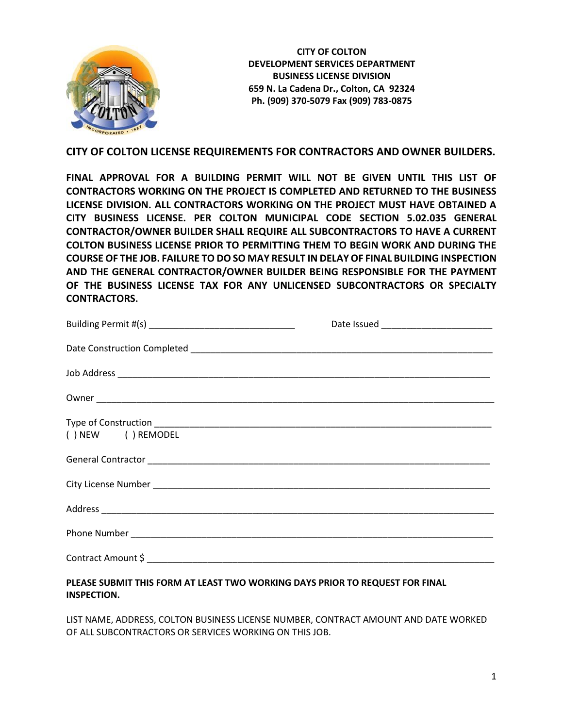

**CITY OF COLTON DEVELOPMENT SERVICES DEPARTMENT BUSINESS LICENSE DIVISION 659 N. La Cadena Dr., Colton, CA 92324 Ph. (909) 370-5079 Fax (909) 783-0875**

### **CITY OF COLTON LICENSE REQUIREMENTS FOR CONTRACTORS AND OWNER BUILDERS.**

**FINAL APPROVAL FOR A BUILDING PERMIT WILL NOT BE GIVEN UNTIL THIS LIST OF CONTRACTORS WORKING ON THE PROJECT IS COMPLETED AND RETURNED TO THE BUSINESS LICENSE DIVISION. ALL CONTRACTORS WORKING ON THE PROJECT MUST HAVE OBTAINED A CITY BUSINESS LICENSE. PER COLTON MUNICIPAL CODE SECTION 5.02.035 GENERAL CONTRACTOR/OWNER BUILDER SHALL REQUIRE ALL SUBCONTRACTORS TO HAVE A CURRENT COLTON BUSINESS LICENSE PRIOR TO PERMITTING THEM TO BEGIN WORK AND DURING THE COURSE OF THE JOB. FAILURE TO DO SO MAY RESULT IN DELAY OF FINAL BUILDING INSPECTION AND THE GENERAL CONTRACTOR/OWNER BUILDER BEING RESPONSIBLE FOR THE PAYMENT OF THE BUSINESS LICENSE TAX FOR ANY UNLICENSED SUBCONTRACTORS OR SPECIALTY CONTRACTORS.**

| () NEW () REMODEL |  |
|-------------------|--|
|                   |  |
|                   |  |
|                   |  |
|                   |  |
|                   |  |
|                   |  |

### **PLEASE SUBMIT THIS FORM AT LEAST TWO WORKING DAYS PRIOR TO REQUEST FOR FINAL INSPECTION.**

LIST NAME, ADDRESS, COLTON BUSINESS LICENSE NUMBER, CONTRACT AMOUNT AND DATE WORKED OF ALL SUBCONTRACTORS OR SERVICES WORKING ON THIS JOB.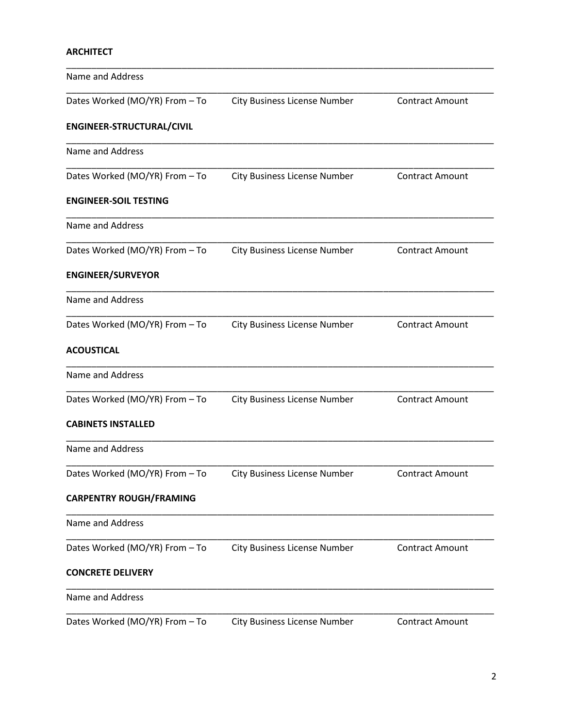### **ARCHITECT**

| <b>Name and Address</b>        |                                     |                        |
|--------------------------------|-------------------------------------|------------------------|
| Dates Worked (MO/YR) From - To | <b>City Business License Number</b> | <b>Contract Amount</b> |
| ENGINEER-STRUCTURAL/CIVIL      |                                     |                        |
| Name and Address               |                                     |                        |
| Dates Worked (MO/YR) From - To | <b>City Business License Number</b> | <b>Contract Amount</b> |
| <b>ENGINEER-SOIL TESTING</b>   |                                     |                        |
| Name and Address               |                                     |                        |
| Dates Worked (MO/YR) From - To | <b>City Business License Number</b> | <b>Contract Amount</b> |
| <b>ENGINEER/SURVEYOR</b>       |                                     |                        |
| Name and Address               |                                     |                        |
| Dates Worked (MO/YR) From - To | <b>City Business License Number</b> | <b>Contract Amount</b> |
| <b>ACOUSTICAL</b>              |                                     |                        |
| Name and Address               |                                     |                        |
| Dates Worked (MO/YR) From - To | <b>City Business License Number</b> | <b>Contract Amount</b> |
| <b>CABINETS INSTALLED</b>      |                                     |                        |
| Name and Address               |                                     |                        |
| Dates Worked (MO/YR) From - To | <b>City Business License Number</b> | <b>Contract Amount</b> |
| <b>CARPENTRY ROUGH/FRAMING</b> |                                     |                        |
| Name and Address               |                                     |                        |
| Dates Worked (MO/YR) From - To | <b>City Business License Number</b> | <b>Contract Amount</b> |
| <b>CONCRETE DELIVERY</b>       |                                     |                        |
| <b>Name and Address</b>        |                                     |                        |
| Dates Worked (MO/YR) From - To | <b>City Business License Number</b> | <b>Contract Amount</b> |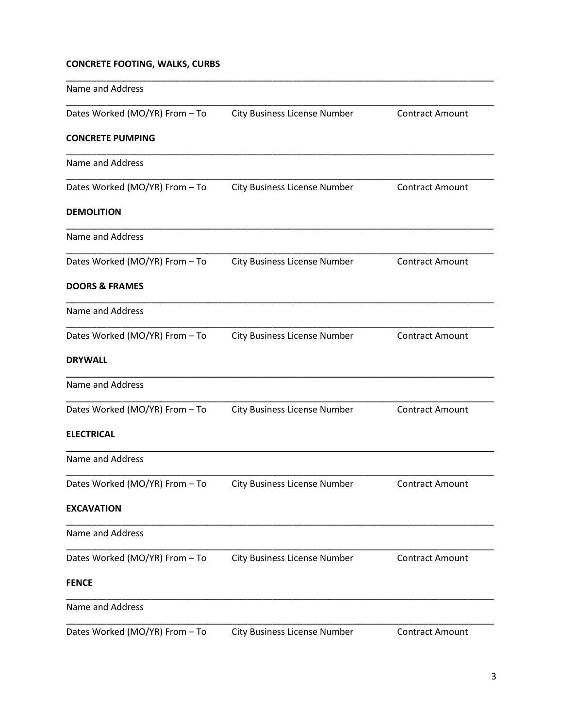## **CONCRETE FOOTING, WALKS, CURBS**

| Name and Address               |                                     |                        |
|--------------------------------|-------------------------------------|------------------------|
| Dates Worked (MO/YR) From - To | <b>City Business License Number</b> | <b>Contract Amount</b> |
| <b>CONCRETE PUMPING</b>        |                                     |                        |
| Name and Address               |                                     |                        |
| Dates Worked (MO/YR) From - To | <b>City Business License Number</b> | <b>Contract Amount</b> |
| <b>DEMOLITION</b>              |                                     |                        |
| Name and Address               |                                     |                        |
| Dates Worked (MO/YR) From - To | <b>City Business License Number</b> | <b>Contract Amount</b> |
| <b>DOORS &amp; FRAMES</b>      |                                     |                        |
| <b>Name and Address</b>        |                                     |                        |
| Dates Worked (MO/YR) From - To | <b>City Business License Number</b> | <b>Contract Amount</b> |
| <b>DRYWALL</b>                 |                                     |                        |
| <b>Name and Address</b>        |                                     |                        |
| Dates Worked (MO/YR) From - To | <b>City Business License Number</b> | <b>Contract Amount</b> |
| <b>ELECTRICAL</b>              |                                     |                        |
| <b>Name and Address</b>        |                                     |                        |
| Dates Worked (MO/YR) From - To | <b>City Business License Number</b> | <b>Contract Amount</b> |
| <b>EXCAVATION</b>              |                                     |                        |
| Name and Address               |                                     |                        |
| Dates Worked (MO/YR) From - To | <b>City Business License Number</b> | <b>Contract Amount</b> |
| <b>FENCE</b>                   |                                     |                        |
| <b>Name and Address</b>        |                                     |                        |
| Dates Worked (MO/YR) From - To | <b>City Business License Number</b> | <b>Contract Amount</b> |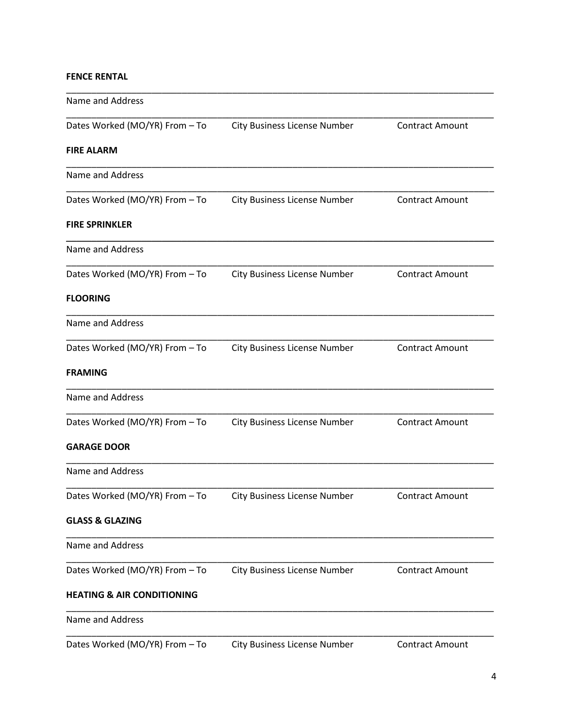## **FENCE RENTAL**

| <b>Name and Address</b>               |                                     |                        |
|---------------------------------------|-------------------------------------|------------------------|
| Dates Worked (MO/YR) From - To        | <b>City Business License Number</b> | <b>Contract Amount</b> |
| <b>FIRE ALARM</b>                     |                                     |                        |
| Name and Address                      |                                     |                        |
| Dates Worked (MO/YR) From - To        | City Business License Number        | <b>Contract Amount</b> |
| <b>FIRE SPRINKLER</b>                 |                                     |                        |
| Name and Address                      |                                     |                        |
| Dates Worked (MO/YR) From - To        | <b>City Business License Number</b> | <b>Contract Amount</b> |
| <b>FLOORING</b>                       |                                     |                        |
| Name and Address                      |                                     |                        |
| Dates Worked (MO/YR) From - To        | <b>City Business License Number</b> | <b>Contract Amount</b> |
| <b>FRAMING</b>                        |                                     |                        |
| Name and Address                      |                                     |                        |
| Dates Worked (MO/YR) From - To        | <b>City Business License Number</b> | <b>Contract Amount</b> |
| <b>GARAGE DOOR</b>                    |                                     |                        |
| Name and Address                      |                                     |                        |
| Dates Worked (MO/YR) From - To        | <b>City Business License Number</b> | Contract Amount        |
| <b>GLASS &amp; GLAZING</b>            |                                     |                        |
| Name and Address                      |                                     |                        |
| Dates Worked (MO/YR) From - To        | <b>City Business License Number</b> | <b>Contract Amount</b> |
| <b>HEATING &amp; AIR CONDITIONING</b> |                                     |                        |
| Name and Address                      |                                     |                        |
| Dates Worked (MO/YR) From - To        | City Business License Number        | <b>Contract Amount</b> |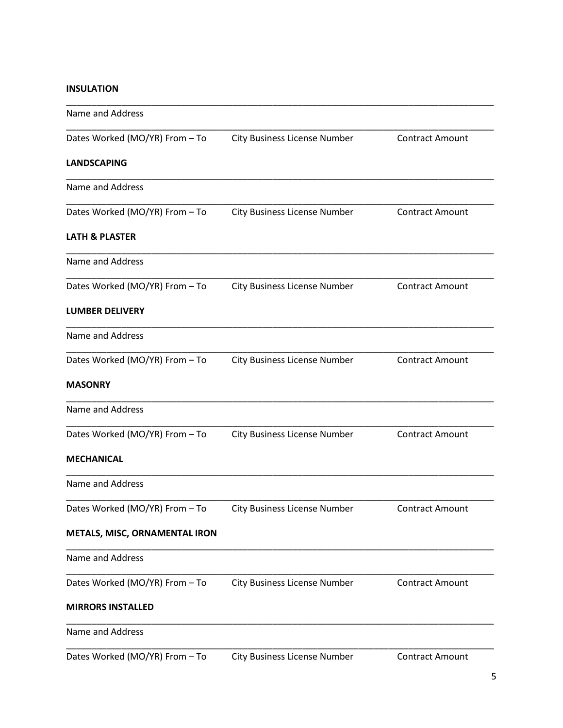### **INSULATION**

| Name and Address               |                                     |                        |
|--------------------------------|-------------------------------------|------------------------|
| Dates Worked (MO/YR) From - To | <b>City Business License Number</b> | <b>Contract Amount</b> |
| <b>LANDSCAPING</b>             |                                     |                        |
| Name and Address               |                                     |                        |
| Dates Worked (MO/YR) From - To | <b>City Business License Number</b> | <b>Contract Amount</b> |
| <b>LATH &amp; PLASTER</b>      |                                     |                        |
| Name and Address               |                                     |                        |
| Dates Worked (MO/YR) From - To | <b>City Business License Number</b> | <b>Contract Amount</b> |
| <b>LUMBER DELIVERY</b>         |                                     |                        |
| Name and Address               |                                     |                        |
| Dates Worked (MO/YR) From - To | <b>City Business License Number</b> | <b>Contract Amount</b> |
| <b>MASONRY</b>                 |                                     |                        |
| <b>Name and Address</b>        |                                     |                        |
| Dates Worked (MO/YR) From - To | <b>City Business License Number</b> | <b>Contract Amount</b> |
| <b>MECHANICAL</b>              |                                     |                        |
| Name and Address               |                                     |                        |
| Dates Worked (MO/YR) From - To | <b>City Business License Number</b> | <b>Contract Amount</b> |
| METALS, MISC, ORNAMENTAL IRON  |                                     |                        |
| Name and Address               |                                     |                        |
| Dates Worked (MO/YR) From - To | <b>City Business License Number</b> | <b>Contract Amount</b> |
| <b>MIRRORS INSTALLED</b>       |                                     |                        |
| Name and Address               |                                     |                        |
| Dates Worked (MO/YR) From - To | <b>City Business License Number</b> | <b>Contract Amount</b> |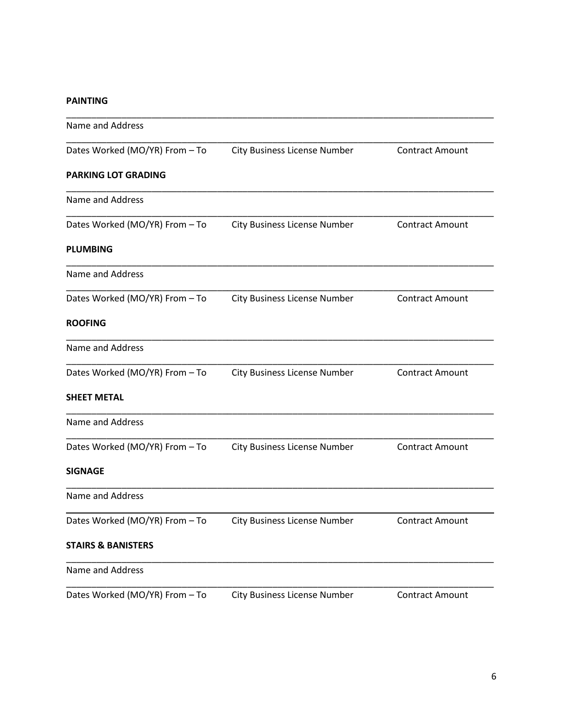#### **PAINTING**

| <b>City Business License Number</b> | <b>Contract Amount</b> |
|-------------------------------------|------------------------|
|                                     |                        |
|                                     |                        |
| <b>City Business License Number</b> | <b>Contract Amount</b> |
|                                     |                        |
|                                     |                        |
| <b>City Business License Number</b> | <b>Contract Amount</b> |
|                                     |                        |
|                                     |                        |
| <b>City Business License Number</b> | <b>Contract Amount</b> |
|                                     |                        |
|                                     |                        |
| <b>City Business License Number</b> | <b>Contract Amount</b> |
|                                     |                        |
|                                     |                        |
| <b>City Business License Number</b> | Contract Amount        |
|                                     |                        |
|                                     |                        |
| <b>City Business License Number</b> | <b>Contract Amount</b> |
|                                     |                        |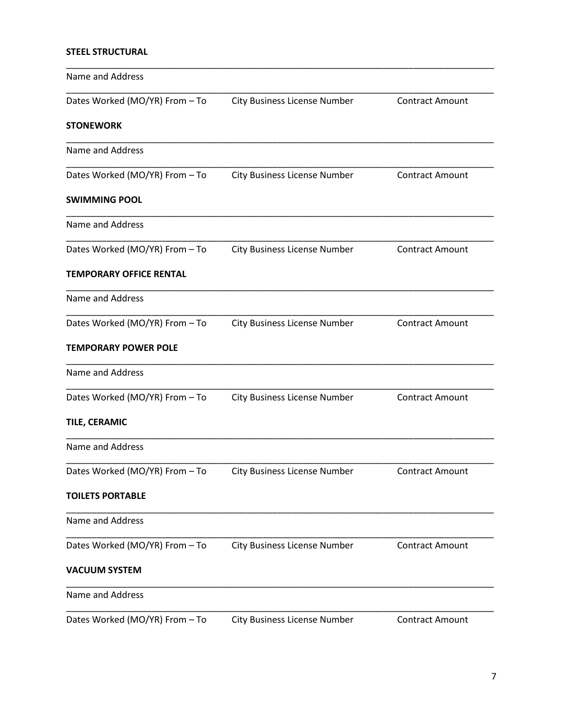## **STEEL STRUCTURAL**

| Name and Address               |                                     |                        |
|--------------------------------|-------------------------------------|------------------------|
| Dates Worked (MO/YR) From - To | <b>City Business License Number</b> | <b>Contract Amount</b> |
| <b>STONEWORK</b>               |                                     |                        |
| Name and Address               |                                     |                        |
| Dates Worked (MO/YR) From - To | <b>City Business License Number</b> | <b>Contract Amount</b> |
| <b>SWIMMING POOL</b>           |                                     |                        |
| Name and Address               |                                     |                        |
| Dates Worked (MO/YR) From - To | <b>City Business License Number</b> | <b>Contract Amount</b> |
| <b>TEMPORARY OFFICE RENTAL</b> |                                     |                        |
| Name and Address               |                                     |                        |
| Dates Worked (MO/YR) From - To | <b>City Business License Number</b> | <b>Contract Amount</b> |
| <b>TEMPORARY POWER POLE</b>    |                                     |                        |
| Name and Address               |                                     |                        |
| Dates Worked (MO/YR) From - To | <b>City Business License Number</b> | <b>Contract Amount</b> |
| TILE, CERAMIC                  |                                     |                        |
| Name and Address               |                                     |                        |
| Dates Worked (MO/YR) From - To | <b>City Business License Number</b> | <b>Contract Amount</b> |
| <b>TOILETS PORTABLE</b>        |                                     |                        |
| Name and Address               |                                     |                        |
| Dates Worked (MO/YR) From - To | <b>City Business License Number</b> | <b>Contract Amount</b> |
| <b>VACUUM SYSTEM</b>           |                                     |                        |
| Name and Address               |                                     |                        |
| Dates Worked (MO/YR) From - To | <b>City Business License Number</b> | <b>Contract Amount</b> |